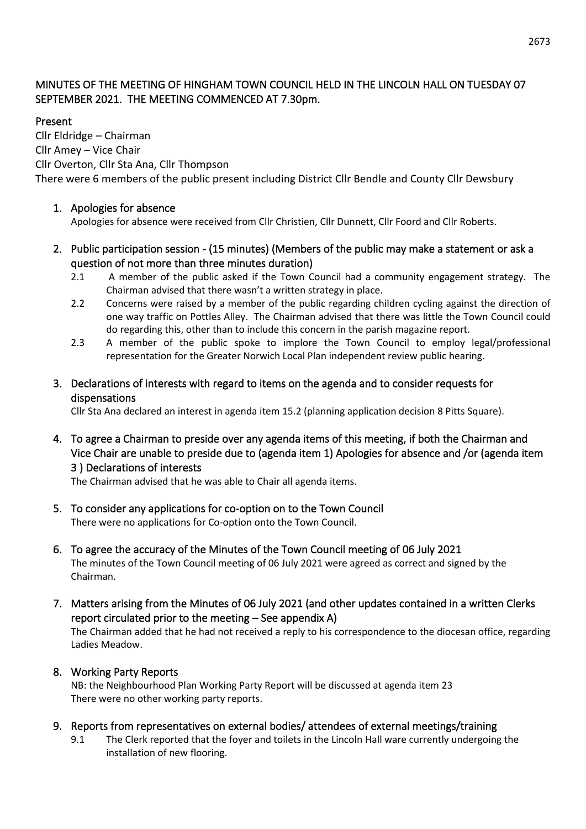# MINUTES OF THE MEETING OF HINGHAM TOWN COUNCIL HELD IN THE LINCOLN HALL ON TUESDAY 07 SEPTEMBER 2021. THE MEETING COMMENCED AT 7.30pm.

# Present

Cllr Eldridge – Chairman Cllr Amey – Vice Chair Cllr Overton, Cllr Sta Ana, Cllr Thompson There were 6 members of the public present including District Cllr Bendle and County Cllr Dewsbury

# 1. Apologies for absence

Apologies for absence were received from Cllr Christien, Cllr Dunnett, Cllr Foord and Cllr Roberts.

- 2. Public participation session (15 minutes) (Members of the public may make a statement or ask a question of not more than three minutes duration)
	- 2.1 A member of the public asked if the Town Council had a community engagement strategy. The Chairman advised that there wasn't a written strategy in place.
	- 2.2 Concerns were raised by a member of the public regarding children cycling against the direction of one way traffic on Pottles Alley. The Chairman advised that there was little the Town Council could do regarding this, other than to include this concern in the parish magazine report.
	- 2.3 A member of the public spoke to implore the Town Council to employ legal/professional representation for the Greater Norwich Local Plan independent review public hearing.
- 3. Declarations of interests with regard to items on the agenda and to consider requests for dispensations

Cllr Sta Ana declared an interest in agenda item 15.2 (planning application decision 8 Pitts Square).

4. To agree a Chairman to preside over any agenda items of this meeting, if both the Chairman and Vice Chair are unable to preside due to (agenda item 1) Apologies for absence and /or (agenda item 3 ) Declarations of interests

The Chairman advised that he was able to Chair all agenda items.

- 5. To consider any applications for co-option on to the Town Council There were no applications for Co-option onto the Town Council.
- 6. To agree the accuracy of the Minutes of the Town Council meeting of 06 July 2021 The minutes of the Town Council meeting of 06 July 2021 were agreed as correct and signed by the Chairman.
- 7. Matters arising from the Minutes of 06 July 2021 (and other updates contained in a written Clerks report circulated prior to the meeting – See appendix A) The Chairman added that he had not received a reply to his correspondence to the diocesan office, regarding Ladies Meadow.

## 8. Working Party Reports

NB: the Neighbourhood Plan Working Party Report will be discussed at agenda item 23 There were no other working party reports.

## 9. Reports from representatives on external bodies/ attendees of external meetings/training

9.1 The Clerk reported that the foyer and toilets in the Lincoln Hall ware currently undergoing the installation of new flooring.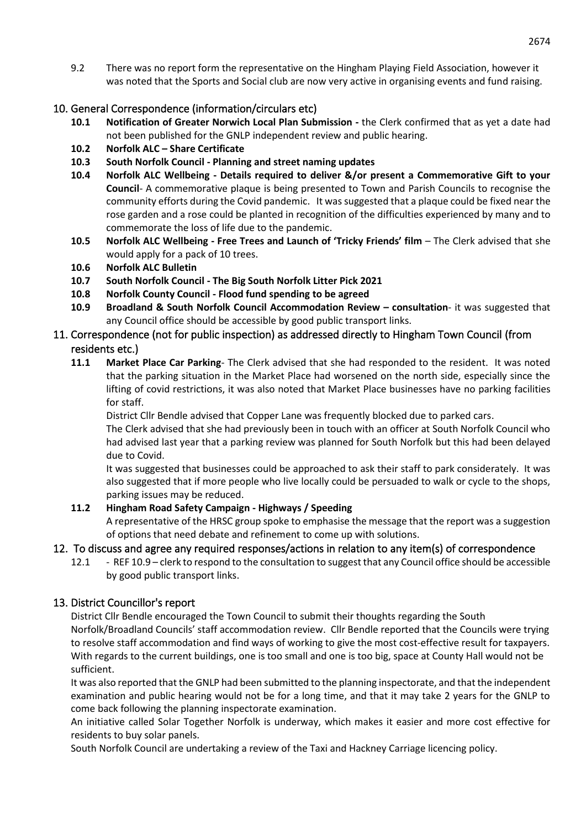9.2 There was no report form the representative on the Hingham Playing Field Association, however it was noted that the Sports and Social club are now very active in organising events and fund raising.

### 10. General Correspondence (information/circulars etc)

- **10.1 Notification of Greater Norwich Local Plan Submission -** the Clerk confirmed that as yet a date had not been published for the GNLP independent review and public hearing.
- **10.2 Norfolk ALC – Share Certificate**
- **10.3 South Norfolk Council - Planning and street naming updates**
- **10.4 Norfolk ALC Wellbeing - Details required to deliver &/or present a Commemorative Gift to your Council**- A commemorative plaque is being presented to Town and Parish Councils to recognise the community efforts during the Covid pandemic. It was suggested that a plaque could be fixed near the rose garden and a rose could be planted in recognition of the difficulties experienced by many and to commemorate the loss of life due to the pandemic.
- **10.5 Norfolk ALC Wellbeing - Free Trees and Launch of 'Tricky Friends' film** The Clerk advised that she would apply for a pack of 10 trees.
- **10.6 Norfolk ALC Bulletin**
- **10.7 South Norfolk Council - The Big South Norfolk Litter Pick 2021**
- **10.8 Norfolk County Council - Flood fund spending to be agreed**
- **10.9 Broadland & South Norfolk Council Accommodation Review – consultation** it was suggested that any Council office should be accessible by good public transport links.

## 11. Correspondence (not for public inspection) as addressed directly to Hingham Town Council (from residents etc.)

**11.1 Market Place Car Parking**- The Clerk advised that she had responded to the resident. It was noted that the parking situation in the Market Place had worsened on the north side, especially since the lifting of covid restrictions, it was also noted that Market Place businesses have no parking facilities for staff.

District Cllr Bendle advised that Copper Lane was frequently blocked due to parked cars.

The Clerk advised that she had previously been in touch with an officer at South Norfolk Council who had advised last year that a parking review was planned for South Norfolk but this had been delayed due to Covid.

It was suggested that businesses could be approached to ask their staff to park considerately. It was also suggested that if more people who live locally could be persuaded to walk or cycle to the shops, parking issues may be reduced.

## **11.2 Hingham Road Safety Campaign - Highways / Speeding**

A representative of the HRSC group spoke to emphasise the message that the report was a suggestion of options that need debate and refinement to come up with solutions.

### 12. To discuss and agree any required responses/actions in relation to any item(s) of correspondence

12.1 - REF 10.9 – clerk to respond to the consultation to suggest that any Council office should be accessible by good public transport links.

## 13. District Councillor's report

District Cllr Bendle encouraged the Town Council to submit their thoughts regarding the South Norfolk/Broadland Councils' staff accommodation review. Cllr Bendle reported that the Councils were trying to resolve staff accommodation and find ways of working to give the most cost-effective result for taxpayers. With regards to the current buildings, one is too small and one is too big, space at County Hall would not be sufficient.

It was also reported that the GNLP had been submitted to the planning inspectorate, and that the independent examination and public hearing would not be for a long time, and that it may take 2 years for the GNLP to come back following the planning inspectorate examination.

An initiative called Solar Together Norfolk is underway, which makes it easier and more cost effective for residents to buy solar panels.

South Norfolk Council are undertaking a review of the Taxi and Hackney Carriage licencing policy.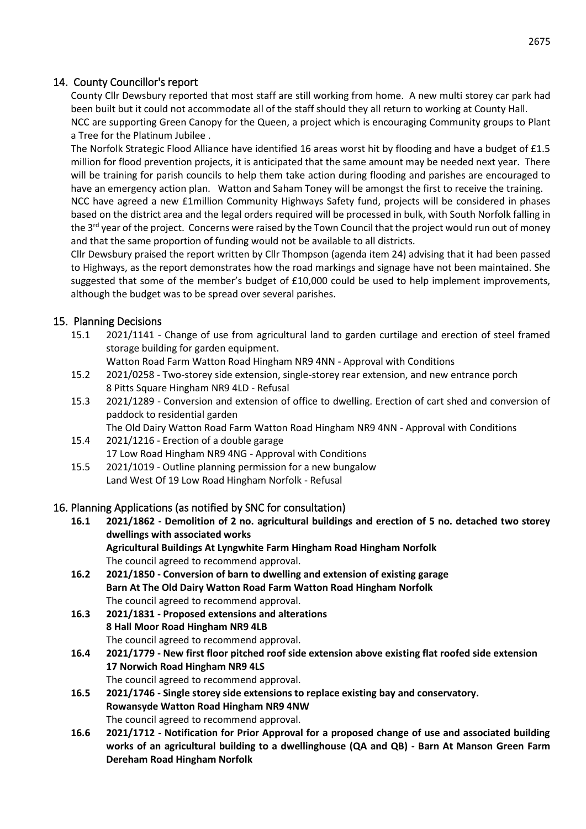## 14. County Councillor's report

County Cllr Dewsbury reported that most staff are still working from home. A new multi storey car park had been built but it could not accommodate all of the staff should they all return to working at County Hall.

NCC are supporting Green Canopy for the Queen, a project which is encouraging Community groups to Plant a Tree for the Platinum Jubilee .

The Norfolk Strategic Flood Alliance have identified 16 areas worst hit by flooding and have a budget of £1.5 million for flood prevention projects, it is anticipated that the same amount may be needed next year. There will be training for parish councils to help them take action during flooding and parishes are encouraged to have an emergency action plan. Watton and Saham Toney will be amongst the first to receive the training.

NCC have agreed a new £1million Community Highways Safety fund, projects will be considered in phases based on the district area and the legal orders required will be processed in bulk, with South Norfolk falling in the 3<sup>rd</sup> year of the project. Concerns were raised by the Town Council that the project would run out of money and that the same proportion of funding would not be available to all districts.

Cllr Dewsbury praised the report written by Cllr Thompson (agenda item 24) advising that it had been passed to Highways, as the report demonstrates how the road markings and signage have not been maintained. She suggested that some of the member's budget of £10,000 could be used to help implement improvements, although the budget was to be spread over several parishes.

## 15. Planning Decisions

- 15.1 2021/1141 Change of use from agricultural land to garden curtilage and erection of steel framed storage building for garden equipment.
	- Watton Road Farm Watton Road Hingham NR9 4NN Approval with Conditions
- 15.2 2021/0258 Two-storey side extension, single-storey rear extension, and new entrance porch 8 Pitts Square Hingham NR9 4LD - Refusal
- 15.3 2021/1289 Conversion and extension of office to dwelling. Erection of cart shed and conversion of paddock to residential garden
	- The Old Dairy Watton Road Farm Watton Road Hingham NR9 4NN Approval with Conditions
- 15.4 2021/1216 Erection of a double garage 17 Low Road Hingham NR9 4NG - Approval with Conditions
- 15.5 2021/1019 Outline planning permission for a new bungalow Land West Of 19 Low Road Hingham Norfolk - Refusal

# 16. Planning Applications (as notified by SNC for consultation)

- **16.1 2021/1862 - Demolition of 2 no. agricultural buildings and erection of 5 no. detached two storey dwellings with associated works Agricultural Buildings At Lyngwhite Farm Hingham Road Hingham Norfolk** The council agreed to recommend approval.
- **16.2 2021/1850 - Conversion of barn to dwelling and extension of existing garage Barn At The Old Dairy Watton Road Farm Watton Road Hingham Norfolk** The council agreed to recommend approval.
- **16.3 2021/1831 - Proposed extensions and alterations 8 Hall Moor Road Hingham NR9 4LB** The council agreed to recommend approval.
- **16.4 2021/1779 - New first floor pitched roof side extension above existing flat roofed side extension 17 Norwich Road Hingham NR9 4LS** The council agreed to recommend approval.
- **16.5 2021/1746 - Single storey side extensions to replace existing bay and conservatory. Rowansyde Watton Road Hingham NR9 4NW** The council agreed to recommend approval.
- **16.6 2021/1712 - Notification for Prior Approval for a proposed change of use and associated building works of an agricultural building to a dwellinghouse (QA and QB) - Barn At Manson Green Farm Dereham Road Hingham Norfolk**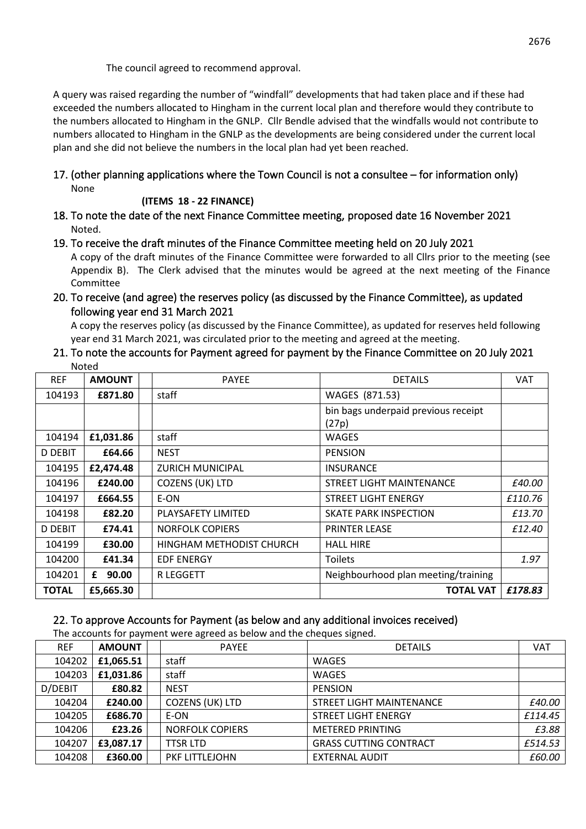The council agreed to recommend approval.

A query was raised regarding the number of "windfall" developments that had taken place and if these had exceeded the numbers allocated to Hingham in the current local plan and therefore would they contribute to the numbers allocated to Hingham in the GNLP. Cllr Bendle advised that the windfalls would not contribute to numbers allocated to Hingham in the GNLP as the developments are being considered under the current local plan and she did not believe the numbers in the local plan had yet been reached.

### 17. (other planning applications where the Town Council is not a consultee – for information only) None

### **(ITEMS 18 - 22 FINANCE)**

18. To note the date of the next Finance Committee meeting, proposed date 16 November 2021 Noted.

### 19. To receive the draft minutes of the Finance Committee meeting held on 20 July 2021

A copy of the draft minutes of the Finance Committee were forwarded to all Cllrs prior to the meeting (see Appendix B). The Clerk advised that the minutes would be agreed at the next meeting of the Finance Committee

### 20. To receive (and agree) the reserves policy (as discussed by the Finance Committee), as updated following year end 31 March 2021

A copy the reserves policy (as discussed by the Finance Committee), as updated for reserves held following year end 31 March 2021, was circulated prior to the meeting and agreed at the meeting.

### 21. To note the accounts for Payment agreed for payment by the Finance Committee on 20 July 2021 Noted

| <b>REF</b>     | <b>AMOUNT</b> | <b>PAYEE</b>             | <b>DETAILS</b>                               |         |
|----------------|---------------|--------------------------|----------------------------------------------|---------|
| 104193         | £871.80       | staff<br>WAGES (871.53)  |                                              |         |
|                |               |                          | bin bags underpaid previous receipt<br>(27p) |         |
| 104194         | £1,031.86     | staff                    | <b>WAGES</b>                                 |         |
| D DEBIT        | £64.66        | <b>NEST</b>              | <b>PENSION</b>                               |         |
| 104195         | £2,474.48     | <b>ZURICH MUNICIPAL</b>  | <b>INSURANCE</b>                             |         |
| 104196         | £240.00       | COZENS (UK) LTD          | STREET LIGHT MAINTENANCE                     | £40.00  |
| 104197         | £664.55       | E-ON                     | <b>STREET LIGHT ENERGY</b>                   | £110.76 |
| 104198         | £82.20        | PLAYSAFETY LIMITED       | <b>SKATE PARK INSPECTION</b>                 | £13.70  |
| <b>D DEBIT</b> | £74.41        | <b>NORFOLK COPIERS</b>   | <b>PRINTER LEASE</b>                         | £12.40  |
| 104199         | £30.00        | HINGHAM METHODIST CHURCH | <b>HALL HIRE</b>                             |         |
| 104200         | £41.34        | <b>EDF ENERGY</b>        | <b>Toilets</b>                               | 1.97    |
| 104201         | 90.00<br>£    | <b>R LEGGETT</b>         | Neighbourhood plan meeting/training          |         |
| <b>TOTAL</b>   | £5,665.30     |                          | <b>TOTAL VAT</b>                             | £178.83 |

### 22. To approve Accounts for Payment (as below and any additional invoices received)

The accounts for payment were agreed as below and the cheques signed.

| <b>REF</b> | <b>AMOUNT</b><br><b>PAYEE</b> |  |                        | <b>DETAILS</b>                | VAT     |
|------------|-------------------------------|--|------------------------|-------------------------------|---------|
| 104202     | staff<br>£1,065.51            |  |                        | <b>WAGES</b>                  |         |
| 104203     | £1,031.86                     |  | staff                  | <b>WAGES</b>                  |         |
| D/DEBIT    | £80.82                        |  | <b>NEST</b>            | <b>PENSION</b>                |         |
| 104204     | £240.00                       |  | COZENS (UK) LTD        | STREET LIGHT MAINTENANCE      | £40.00  |
| 104205     | £686.70                       |  | E-ON                   | STREET LIGHT ENERGY           | £114.45 |
| 104206     | £23.26                        |  | <b>NORFOLK COPIERS</b> | <b>METERED PRINTING</b>       | £3.88   |
| 104207     | £3,087.17                     |  | TTSR LTD               | <b>GRASS CUTTING CONTRACT</b> | £514.53 |
| 104208     | £360.00                       |  | PKF LITTLEJOHN         | <b>EXTERNAL AUDIT</b>         | £60.00  |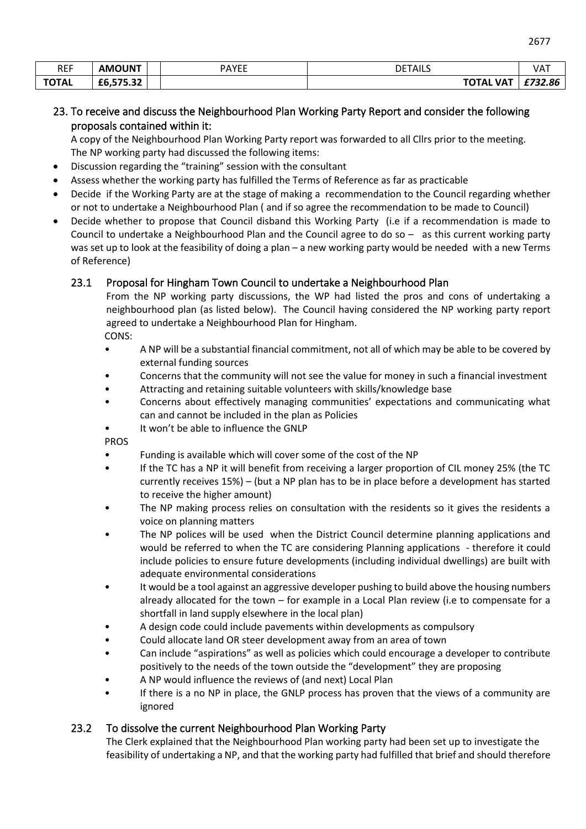| <b>REF</b>   | <b>AMOUNT</b>                      | <b>DAVEE</b><br>$\sqrt{2}$ | <b>DETAILS</b>   | VAT     |
|--------------|------------------------------------|----------------------------|------------------|---------|
| <b>TOTAL</b> | $- - - - -$<br>fr<br>515.32<br>∸∪… |                            | <b>TOTAL VAT</b> | £732.86 |

# 23. To receive and discuss the Neighbourhood Plan Working Party Report and consider the following proposals contained within it:

A copy of the Neighbourhood Plan Working Party report was forwarded to all Cllrs prior to the meeting. The NP working party had discussed the following items:

- Discussion regarding the "training" session with the consultant
- Assess whether the working party has fulfilled the Terms of Reference as far as practicable
- Decide if the Working Party are at the stage of making a recommendation to the Council regarding whether or not to undertake a Neighbourhood Plan ( and if so agree the recommendation to be made to Council)
- Decide whether to propose that Council disband this Working Party (i.e if a recommendation is made to Council to undertake a Neighbourhood Plan and the Council agree to do so – as this current working party was set up to look at the feasibility of doing a plan – a new working party would be needed with a new Terms of Reference)

## 23.1 Proposal for Hingham Town Council to undertake a Neighbourhood Plan

From the NP working party discussions, the WP had listed the pros and cons of undertaking a neighbourhood plan (as listed below). The Council having considered the NP working party report agreed to undertake a Neighbourhood Plan for Hingham.

CONS:

- A NP will be a substantial financial commitment, not all of which may be able to be covered by external funding sources
- Concerns that the community will not see the value for money in such a financial investment
- Attracting and retaining suitable volunteers with skills/knowledge base
- Concerns about effectively managing communities' expectations and communicating what can and cannot be included in the plan as Policies
- It won't be able to influence the GNLP

PROS

- Funding is available which will cover some of the cost of the NP
- If the TC has a NP it will benefit from receiving a larger proportion of CIL money 25% (the TC currently receives 15%) – (but a NP plan has to be in place before a development has started to receive the higher amount)
- The NP making process relies on consultation with the residents so it gives the residents a voice on planning matters
- The NP polices will be used when the District Council determine planning applications and would be referred to when the TC are considering Planning applications - therefore it could include policies to ensure future developments (including individual dwellings) are built with adequate environmental considerations
- It would be a tool against an aggressive developer pushing to build above the housing numbers already allocated for the town – for example in a Local Plan review (i.e to compensate for a shortfall in land supply elsewhere in the local plan)
- A design code could include pavements within developments as compulsory
- Could allocate land OR steer development away from an area of town
- Can include "aspirations" as well as policies which could encourage a developer to contribute positively to the needs of the town outside the "development" they are proposing
- A NP would influence the reviews of (and next) Local Plan
- If there is a no NP in place, the GNLP process has proven that the views of a community are ignored

## 23.2 To dissolve the current Neighbourhood Plan Working Party

The Clerk explained that the Neighbourhood Plan working party had been set up to investigate the feasibility of undertaking a NP, and that the working party had fulfilled that brief and should therefore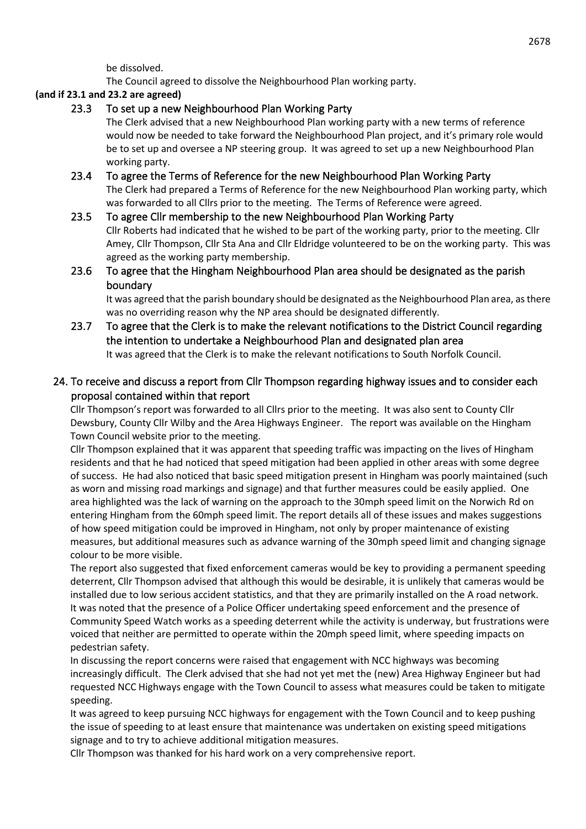be dissolved.

The Council agreed to dissolve the Neighbourhood Plan working party.

# **(and if 23.1 and 23.2 are agreed)**

# 23.3 To set up a new Neighbourhood Plan Working Party

The Clerk advised that a new Neighbourhood Plan working party with a new terms of reference would now be needed to take forward the Neighbourhood Plan project, and it's primary role would be to set up and oversee a NP steering group. It was agreed to set up a new Neighbourhood Plan working party.

# 23.4 To agree the Terms of Reference for the new Neighbourhood Plan Working Party The Clerk had prepared a Terms of Reference for the new Neighbourhood Plan working party, which was forwarded to all Cllrs prior to the meeting. The Terms of Reference were agreed.

# 23.5 To agree Cllr membership to the new Neighbourhood Plan Working Party Cllr Roberts had indicated that he wished to be part of the working party, prior to the meeting. Cllr Amey, Cllr Thompson, Cllr Sta Ana and Cllr Eldridge volunteered to be on the working party. This was agreed as the working party membership.

# 23.6 To agree that the Hingham Neighbourhood Plan area should be designated as the parish boundary

It was agreed that the parish boundary should be designated as the Neighbourhood Plan area, as there was no overriding reason why the NP area should be designated differently.

23.7 To agree that the Clerk is to make the relevant notifications to the District Council regarding the intention to undertake a Neighbourhood Plan and designated plan area It was agreed that the Clerk is to make the relevant notifications to South Norfolk Council.

# 24. To receive and discuss a report from Cllr Thompson regarding highway issues and to consider each proposal contained within that report

Cllr Thompson's report was forwarded to all Cllrs prior to the meeting. It was also sent to County Cllr Dewsbury, County Cllr Wilby and the Area Highways Engineer. The report was available on the Hingham Town Council website prior to the meeting.

Cllr Thompson explained that it was apparent that speeding traffic was impacting on the lives of Hingham residents and that he had noticed that speed mitigation had been applied in other areas with some degree of success. He had also noticed that basic speed mitigation present in Hingham was poorly maintained (such as worn and missing road markings and signage) and that further measures could be easily applied. One area highlighted was the lack of warning on the approach to the 30mph speed limit on the Norwich Rd on entering Hingham from the 60mph speed limit. The report details all of these issues and makes suggestions of how speed mitigation could be improved in Hingham, not only by proper maintenance of existing measures, but additional measures such as advance warning of the 30mph speed limit and changing signage colour to be more visible.

The report also suggested that fixed enforcement cameras would be key to providing a permanent speeding deterrent, Cllr Thompson advised that although this would be desirable, it is unlikely that cameras would be installed due to low serious accident statistics, and that they are primarily installed on the A road network. It was noted that the presence of a Police Officer undertaking speed enforcement and the presence of Community Speed Watch works as a speeding deterrent while the activity is underway, but frustrations were voiced that neither are permitted to operate within the 20mph speed limit, where speeding impacts on pedestrian safety.

In discussing the report concerns were raised that engagement with NCC highways was becoming increasingly difficult. The Clerk advised that she had not yet met the (new) Area Highway Engineer but had requested NCC Highways engage with the Town Council to assess what measures could be taken to mitigate speeding.

It was agreed to keep pursuing NCC highways for engagement with the Town Council and to keep pushing the issue of speeding to at least ensure that maintenance was undertaken on existing speed mitigations signage and to try to achieve additional mitigation measures.

Cllr Thompson was thanked for his hard work on a very comprehensive report.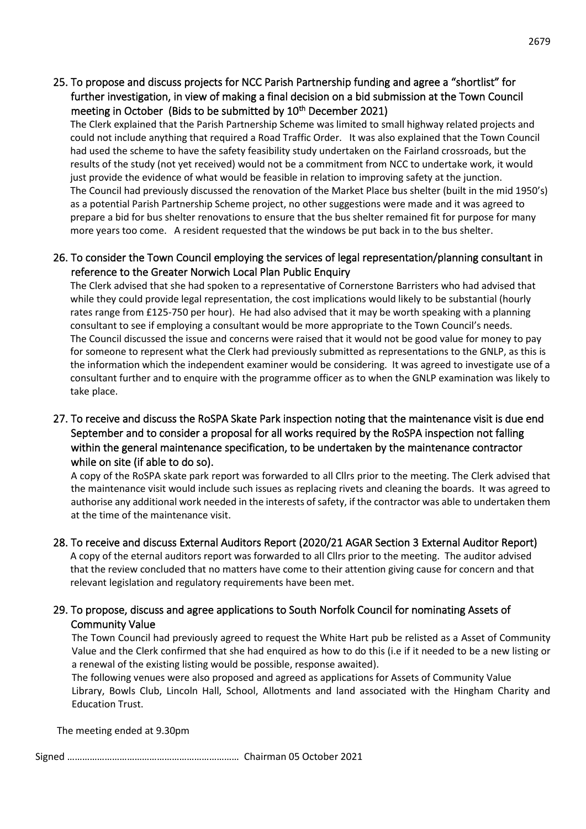## 25. To propose and discuss projects for NCC Parish Partnership funding and agree a "shortlist" for further investigation, in view of making a final decision on a bid submission at the Town Council meeting in October (Bids to be submitted by  $10<sup>th</sup>$  December 2021)

The Clerk explained that the Parish Partnership Scheme was limited to small highway related projects and could not include anything that required a Road Traffic Order. It was also explained that the Town Council had used the scheme to have the safety feasibility study undertaken on the Fairland crossroads, but the results of the study (not yet received) would not be a commitment from NCC to undertake work, it would just provide the evidence of what would be feasible in relation to improving safety at the junction. The Council had previously discussed the renovation of the Market Place bus shelter (built in the mid 1950's) as a potential Parish Partnership Scheme project, no other suggestions were made and it was agreed to prepare a bid for bus shelter renovations to ensure that the bus shelter remained fit for purpose for many more years too come. A resident requested that the windows be put back in to the bus shelter.

## 26. To consider the Town Council employing the services of legal representation/planning consultant in reference to the Greater Norwich Local Plan Public Enquiry

The Clerk advised that she had spoken to a representative of Cornerstone Barristers who had advised that while they could provide legal representation, the cost implications would likely to be substantial (hourly rates range from £125-750 per hour). He had also advised that it may be worth speaking with a planning consultant to see if employing a consultant would be more appropriate to the Town Council's needs. The Council discussed the issue and concerns were raised that it would not be good value for money to pay for someone to represent what the Clerk had previously submitted as representations to the GNLP, as this is the information which the independent examiner would be considering. It was agreed to investigate use of a consultant further and to enquire with the programme officer as to when the GNLP examination was likely to take place.

# 27. To receive and discuss the RoSPA Skate Park inspection noting that the maintenance visit is due end September and to consider a proposal for all works required by the RoSPA inspection not falling within the general maintenance specification, to be undertaken by the maintenance contractor while on site (if able to do so).

A copy of the RoSPA skate park report was forwarded to all Cllrs prior to the meeting. The Clerk advised that the maintenance visit would include such issues as replacing rivets and cleaning the boards. It was agreed to authorise any additional work needed in the interests of safety, if the contractor was able to undertaken them at the time of the maintenance visit.

### 28. To receive and discuss External Auditors Report (2020/21 AGAR Section 3 External Auditor Report)

A copy of the eternal auditors report was forwarded to all Cllrs prior to the meeting. The auditor advised that the review concluded that no matters have come to their attention giving cause for concern and that relevant legislation and regulatory requirements have been met.

## 29. To propose, discuss and agree applications to South Norfolk Council for nominating Assets of Community Value

The Town Council had previously agreed to request the White Hart pub be relisted as a Asset of Community Value and the Clerk confirmed that she had enquired as how to do this (i.e if it needed to be a new listing or a renewal of the existing listing would be possible, response awaited).

The following venues were also proposed and agreed as applications for Assets of Community Value Library, Bowls Club, Lincoln Hall, School, Allotments and land associated with the Hingham Charity and Education Trust.

The meeting ended at 9.30pm

Signed …………………………………………………………… Chairman 05 October 2021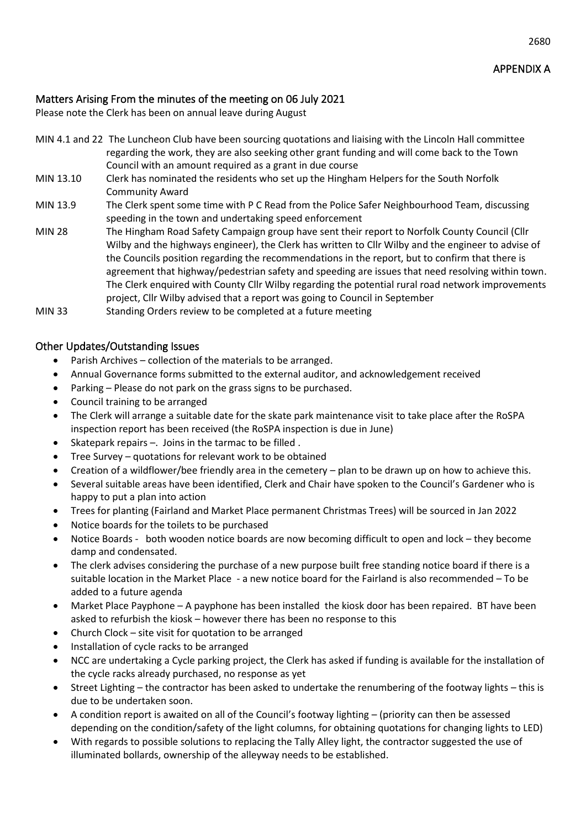2680

## Matters Arising From the minutes of the meeting on 06 July 2021

Please note the Clerk has been on annual leave during August

- MIN 4.1 and 22 The Luncheon Club have been sourcing quotations and liaising with the Lincoln Hall committee regarding the work, they are also seeking other grant funding and will come back to the Town Council with an amount required as a grant in due course
- MIN 13.10 Clerk has nominated the residents who set up the Hingham Helpers for the South Norfolk Community Award
- MIN 13.9 The Clerk spent some time with P C Read from the Police Safer Neighbourhood Team, discussing speeding in the town and undertaking speed enforcement
- MIN 28 The Hingham Road Safety Campaign group have sent their report to Norfolk County Council (Cllr Wilby and the highways engineer), the Clerk has written to Cllr Wilby and the engineer to advise of the Councils position regarding the recommendations in the report, but to confirm that there is agreement that highway/pedestrian safety and speeding are issues that need resolving within town. The Clerk enquired with County Cllr Wilby regarding the potential rural road network improvements project, Cllr Wilby advised that a report was going to Council in September
- MIN 33 Standing Orders review to be completed at a future meeting

### Other Updates/Outstanding Issues

- Parish Archives collection of the materials to be arranged.
- Annual Governance forms submitted to the external auditor, and acknowledgement received
- Parking Please do not park on the grass signs to be purchased.
- Council training to be arranged
- The Clerk will arrange a suitable date for the skate park maintenance visit to take place after the RoSPA inspection report has been received (the RoSPA inspection is due in June)
- Skatepark repairs –. Joins in the tarmac to be filled .
- Tree Survey quotations for relevant work to be obtained
- Creation of a wildflower/bee friendly area in the cemetery plan to be drawn up on how to achieve this.
- Several suitable areas have been identified, Clerk and Chair have spoken to the Council's Gardener who is happy to put a plan into action
- Trees for planting (Fairland and Market Place permanent Christmas Trees) will be sourced in Jan 2022
- Notice boards for the toilets to be purchased
- Notice Boards both wooden notice boards are now becoming difficult to open and lock they become damp and condensated.
- The clerk advises considering the purchase of a new purpose built free standing notice board if there is a suitable location in the Market Place - a new notice board for the Fairland is also recommended – To be added to a future agenda
- Market Place Payphone A payphone has been installed the kiosk door has been repaired. BT have been asked to refurbish the kiosk – however there has been no response to this
- Church Clock site visit for quotation to be arranged
- Installation of cycle racks to be arranged
- NCC are undertaking a Cycle parking project, the Clerk has asked if funding is available for the installation of the cycle racks already purchased, no response as yet
- Street Lighting the contractor has been asked to undertake the renumbering of the footway lights this is due to be undertaken soon.
- A condition report is awaited on all of the Council's footway lighting (priority can then be assessed depending on the condition/safety of the light columns, for obtaining quotations for changing lights to LED)
- With regards to possible solutions to replacing the Tally Alley light, the contractor suggested the use of illuminated bollards, ownership of the alleyway needs to be established.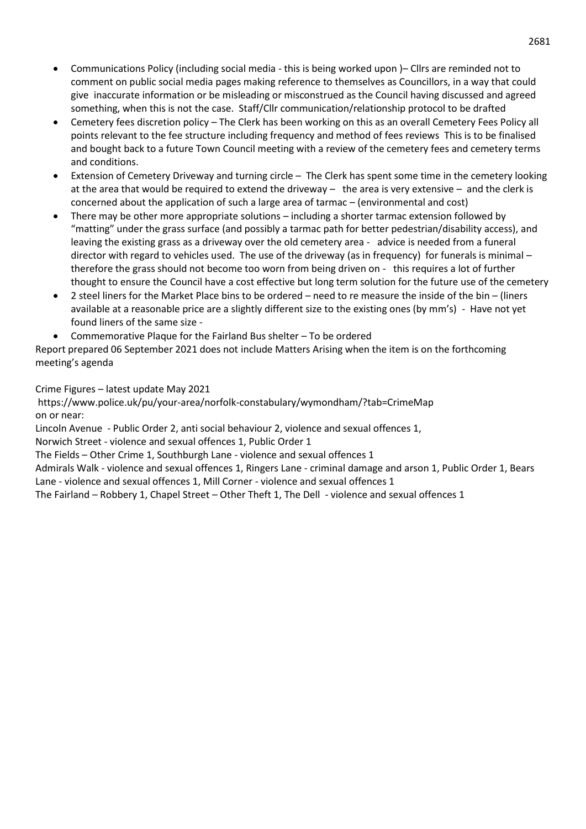- Communications Policy (including social media this is being worked upon )– Cllrs are reminded not to comment on public social media pages making reference to themselves as Councillors, in a way that could give inaccurate information or be misleading or misconstrued as the Council having discussed and agreed something, when this is not the case. Staff/Cllr communication/relationship protocol to be drafted
- Cemetery fees discretion policy The Clerk has been working on this as an overall Cemetery Fees Policy all points relevant to the fee structure including frequency and method of fees reviews This is to be finalised and bought back to a future Town Council meeting with a review of the cemetery fees and cemetery terms and conditions.
- Extension of Cemetery Driveway and turning circle The Clerk has spent some time in the cemetery looking at the area that would be required to extend the driveway – the area is very extensive – and the clerk is concerned about the application of such a large area of tarmac – (environmental and cost)
- There may be other more appropriate solutions including a shorter tarmac extension followed by "matting" under the grass surface (and possibly a tarmac path for better pedestrian/disability access), and leaving the existing grass as a driveway over the old cemetery area - advice is needed from a funeral director with regard to vehicles used. The use of the driveway (as in frequency) for funerals is minimal therefore the grass should not become too worn from being driven on - this requires a lot of further thought to ensure the Council have a cost effective but long term solution for the future use of the cemetery
- 2 steel liners for the Market Place bins to be ordered need to re measure the inside of the bin (liners available at a reasonable price are a slightly different size to the existing ones (by mm's) - Have not yet found liners of the same size -
- Commemorative Plaque for the Fairland Bus shelter To be ordered

Report prepared 06 September 2021 does not include Matters Arising when the item is on the forthcoming meeting's agenda

Crime Figures – latest update May 2021

https://www.police.uk/pu/your-area/norfolk-constabulary/wymondham/?tab=CrimeMap on or near:

Lincoln Avenue - Public Order 2, anti social behaviour 2, violence and sexual offences 1,

Norwich Street - violence and sexual offences 1, Public Order 1

The Fields – Other Crime 1, Southburgh Lane - violence and sexual offences 1

Admirals Walk - violence and sexual offences 1, Ringers Lane - criminal damage and arson 1, Public Order 1, Bears Lane - violence and sexual offences 1, Mill Corner - violence and sexual offences 1

The Fairland – Robbery 1, Chapel Street – Other Theft 1, The Dell - violence and sexual offences 1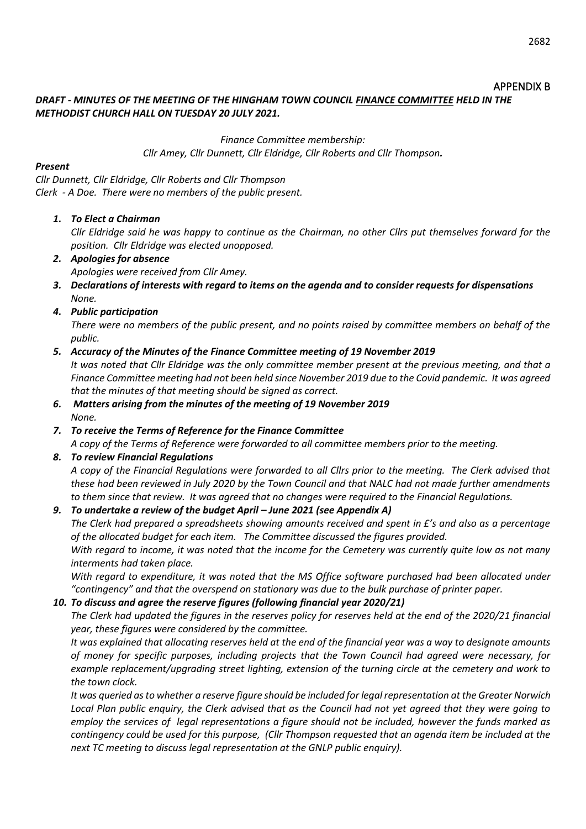APPENDIX B

## *DRAFT - MINUTES OF THE MEETING OF THE HINGHAM TOWN COUNCIL FINANCE COMMITTEE HELD IN THE METHODIST CHURCH HALL ON TUESDAY 20 JULY 2021.*

*Finance Committee membership:* 

*Cllr Amey, Cllr Dunnett, Cllr Eldridge, Cllr Roberts and Cllr Thompson.*

### *Present*

*Cllr Dunnett, Cllr Eldridge, Cllr Roberts and Cllr Thompson Clerk - A Doe. There were no members of the public present.*

*1. To Elect a Chairman*

*Cllr Eldridge said he was happy to continue as the Chairman, no other Cllrs put themselves forward for the position. Cllr Eldridge was elected unopposed.*

- *2. Apologies for absence Apologies were received from Cllr Amey.*
- *3. Declarations of interests with regard to items on the agenda and to consider requests for dispensations None.*
- *4. Public participation*

*There were no members of the public present, and no points raised by committee members on behalf of the public.*

*5. Accuracy of the Minutes of the Finance Committee meeting of 19 November 2019*

*It was noted that Cllr Eldridge was the only committee member present at the previous meeting, and that a Finance Committee meeting had not been held since November 2019 due to the Covid pandemic. It was agreed that the minutes of that meeting should be signed as correct.* 

- *6. Matters arising from the minutes of the meeting of 19 November 2019 None.*
- *7. To receive the Terms of Reference for the Finance Committee*

*A copy of the Terms of Reference were forwarded to all committee members prior to the meeting.*

*8. To review Financial Regulations*

*A copy of the Financial Regulations were forwarded to all Cllrs prior to the meeting. The Clerk advised that these had been reviewed in July 2020 by the Town Council and that NALC had not made further amendments to them since that review. It was agreed that no changes were required to the Financial Regulations.*

## *9. To undertake a review of the budget April – June 2021 (see Appendix A)*

*The Clerk had prepared a spreadsheets showing amounts received and spent in £'s and also as a percentage of the allocated budget for each item. The Committee discussed the figures provided.* 

*With regard to income, it was noted that the income for the Cemetery was currently quite low as not many interments had taken place.*

*With regard to expenditure, it was noted that the MS Office software purchased had been allocated under "contingency" and that the overspend on stationary was due to the bulk purchase of printer paper.* 

## *10. To discuss and agree the reserve figures (following financial year 2020/21)*

The Clerk had updated the figures in the reserves policy for reserves held at the end of the 2020/21 financial *year, these figures were considered by the committee.* 

*It was explained that allocating reserves held at the end of the financial year was a way to designate amounts of money for specific purposes, including projects that the Town Council had agreed were necessary, for example replacement/upgrading street lighting, extension of the turning circle at the cemetery and work to the town clock.*

*It was queried as to whether a reserve figure should be included for legal representation at the Greater Norwich Local Plan public enquiry, the Clerk advised that as the Council had not yet agreed that they were going to employ the services of legal representations a figure should not be included, however the funds marked as contingency could be used for this purpose, (Cllr Thompson requested that an agenda item be included at the next TC meeting to discuss legal representation at the GNLP public enquiry).*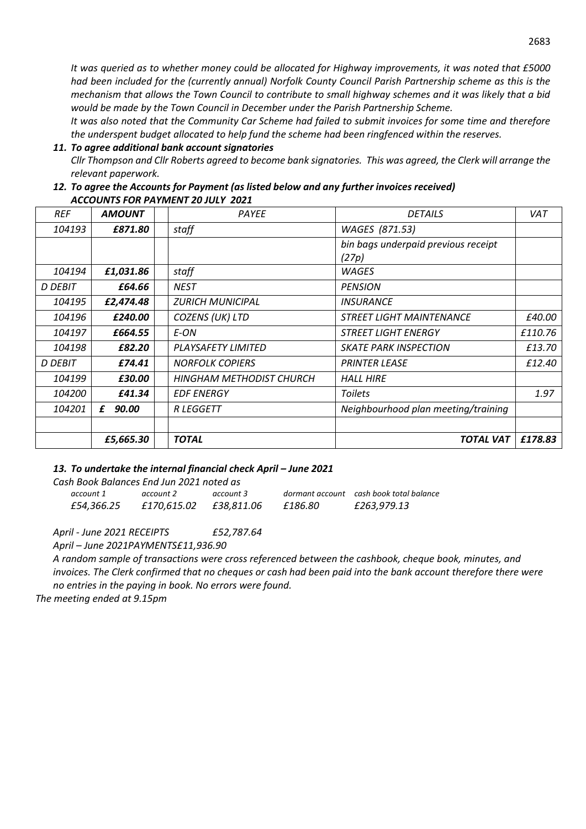*It was queried as to whether money could be allocated for Highway improvements, it was noted that £5000 had been included for the (currently annual) Norfolk County Council Parish Partnership scheme as this is the mechanism that allows the Town Council to contribute to small highway schemes and it was likely that a bid would be made by the Town Council in December under the Parish Partnership Scheme.* 

*It was also noted that the Community Car Scheme had failed to submit invoices for some time and therefore the underspent budget allocated to help fund the scheme had been ringfenced within the reserves.* 

#### *11. To agree additional bank account signatories*

*Cllr Thompson and Cllr Roberts agreed to become bank signatories. This was agreed, the Clerk will arrange the relevant paperwork.*

*12. To agree the Accounts for Payment (as listed below and any further invoices received) ACCOUNTS FOR PAYMENT 20 JULY 2021*

| <b>REF</b> | <b>AMOUNT</b> | PAYEE                                              | <b>DETAILS</b>                      |         |
|------------|---------------|----------------------------------------------------|-------------------------------------|---------|
| 104193     | £871.80       | staff                                              | WAGES (871.53)                      |         |
|            |               |                                                    | bin bags underpaid previous receipt |         |
|            |               |                                                    | (27p)                               |         |
| 104194     | £1,031.86     | staff                                              | WAGES                               |         |
| D DEBIT    | £64.66        | <b>NEST</b>                                        | <b>PENSION</b>                      |         |
| 104195     | £2,474.48     | <b>ZURICH MUNICIPAL</b>                            | <b>INSURANCE</b>                    |         |
| 104196     | £240.00       | COZENS (UK) LTD<br><b>STREET LIGHT MAINTENANCE</b> |                                     | £40.00  |
| 104197     | £664.55       | E-ON<br><b>STREET LIGHT ENERGY</b>                 |                                     | £110.76 |
| 104198     | £82.20        | PLAYSAFETY LIMITED                                 | <i><b>SKATE PARK INSPECTION</b></i> | £13.70  |
| D DEBIT    | £74.41        | <b>NORFOLK COPIERS</b>                             | <b>PRINTER LEASE</b>                | £12.40  |
| 104199     | £30.00        | HINGHAM METHODIST CHURCH                           | <b>HALL HIRE</b>                    |         |
| 104200     | £41.34        | <b>EDF ENERGY</b>                                  | <b>Toilets</b>                      | 1.97    |
| 104201     | £<br>90.00    | <b>R LEGGETT</b>                                   | Neighbourhood plan meeting/training |         |
|            |               |                                                    |                                     |         |
|            | £5,665.30     | <b>TOTAL</b>                                       | <b>TOTAL VAT</b>                    | £178.83 |

#### *13. To undertake the internal financial check April – June 2021*

*Cash Book Balances End Jun 2021 noted as* 

| account 1  | account 2   | account 3  |         | dormant account cash book total balance |
|------------|-------------|------------|---------|-----------------------------------------|
| £54,366.25 | £170.615.02 | £38.811.06 | £186.80 | £263,979.13                             |

*April - June 2021 RECEIPTS £52,787.64*

*April – June 2021PAYMENTS£11,936.90*

*A random sample of transactions were cross referenced between the cashbook, cheque book, minutes, and invoices. The Clerk confirmed that no cheques or cash had been paid into the bank account therefore there were no entries in the paying in book. No errors were found.*

*The meeting ended at 9.15pm*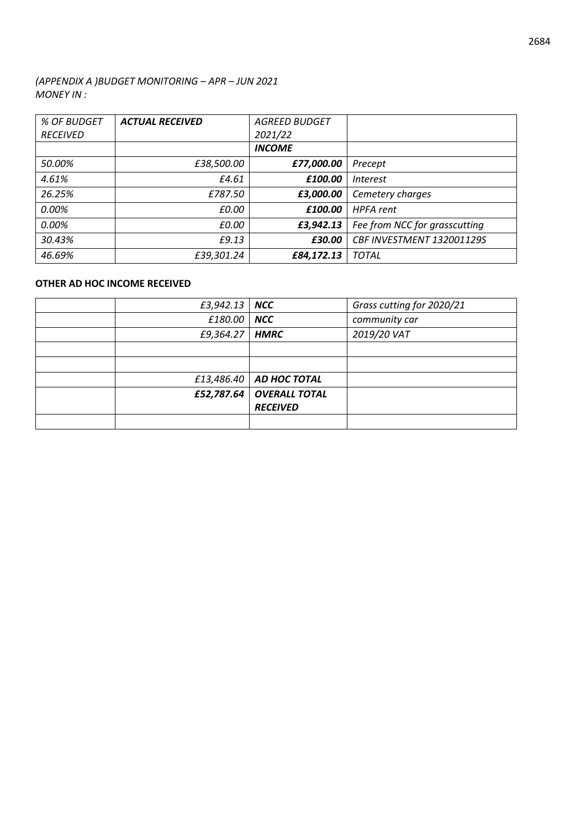### *(APPENDIX A )BUDGET MONITORING – APR – JUN 2021 MONEY IN :*

| % OF BUDGET     | <b>ACTUAL RECEIVED</b> | <b>AGREED BUDGET</b> |                               |
|-----------------|------------------------|----------------------|-------------------------------|
| <b>RECEIVED</b> |                        | 2021/22              |                               |
|                 |                        | <b>INCOME</b>        |                               |
| 50.00%          | £38,500.00             | £77,000.00           | Precept                       |
| 4.61%           | £4.61                  | £100.00              | <i>Interest</i>               |
| 26.25%          | £787.50                | £3,000.00            | Cemetery charges              |
| 0.00%           | £0.00                  | £100.00              | <b>HPFA</b> rent              |
| 0.00%           | £0.00                  | £3,942.13            | Fee from NCC for grasscutting |
| 30.43%          | £9.13                  | £30.00               | CBF INVESTMENT 132001129S     |
| 46.69%          | £39,301.24             | £84,172.13           | <b>TOTAL</b>                  |

# **OTHER AD HOC INCOME RECEIVED**

| $E3,942.13$ NCC |                            | Grass cutting for 2020/21 |
|-----------------|----------------------------|---------------------------|
| £180.00         | NCC                        | community car             |
| E9,364.27       | <b>HMRC</b>                | 2019/20 VAT               |
|                 |                            |                           |
|                 |                            |                           |
|                 | $£13,486.40$ AD HOC TOTAL  |                           |
|                 | £52,787.64   OVERALL TOTAL |                           |
|                 | <b>RECEIVED</b>            |                           |
|                 |                            |                           |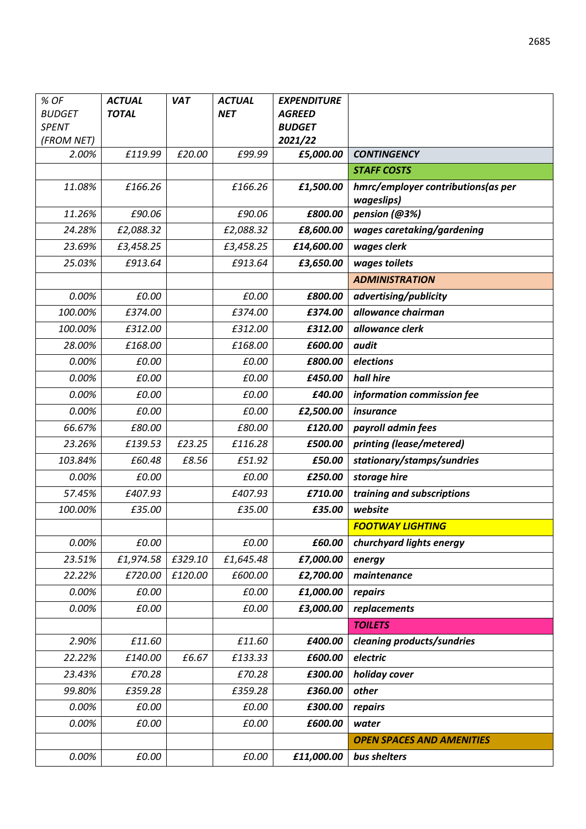| % OF          | <b>ACTUAL</b> | <b>VAT</b> | <b>ACTUAL</b> | <b>EXPENDITURE</b> |                                                  |  |
|---------------|---------------|------------|---------------|--------------------|--------------------------------------------------|--|
| <b>BUDGET</b> | <b>TOTAL</b>  |            | <b>NET</b>    | <b>AGREED</b>      |                                                  |  |
| <b>SPENT</b>  |               |            |               | <b>BUDGET</b>      |                                                  |  |
| (FROM NET)    |               |            |               | 2021/22            |                                                  |  |
| 2.00%         | £119.99       | £20.00     | £99.99        | £5,000.00          | <b>CONTINGENCY</b>                               |  |
|               |               |            |               |                    | <b>STAFF COSTS</b>                               |  |
| 11.08%        | £166.26       |            | £166.26       | £1,500.00          | hmrc/employer contributions(as per<br>wageslips) |  |
| 11.26%        | £90.06        |            | £90.06        | £800.00            | pension (@3%)                                    |  |
| 24.28%        | £2,088.32     |            | £2,088.32     | £8,600.00          | wages caretaking/gardening                       |  |
| 23.69%        | £3,458.25     |            | £3,458.25     | £14,600.00         | wages clerk                                      |  |
| 25.03%        | £913.64       |            | £913.64       | £3,650.00          | wages toilets                                    |  |
|               |               |            |               |                    | <b>ADMINISTRATION</b>                            |  |
| 0.00%         | £0.00         |            | £0.00         | £800.00            | advertising/publicity                            |  |
| 100.00%       | £374.00       |            | £374.00       | £374.00            | allowance chairman                               |  |
| 100.00%       | £312.00       |            | £312.00       | £312.00            | allowance clerk                                  |  |
| 28.00%        | £168.00       |            | £168.00       | £600.00            | audit                                            |  |
| 0.00%         | £0.00         |            | £0.00         | £800.00            | elections                                        |  |
| 0.00%         | £0.00         |            | £0.00         | £450.00            | hall hire                                        |  |
| 0.00%         | £0.00         |            | £0.00         | £40.00             | information commission fee                       |  |
| 0.00%         | £0.00         |            | £0.00         | £2,500.00          | insurance                                        |  |
| 66.67%        | £80.00        |            | £80.00        | £120.00            | payroll admin fees                               |  |
| 23.26%        | £139.53       | £23.25     | £116.28       | £500.00            | printing (lease/metered)                         |  |
| 103.84%       | £60.48        | £8.56      | £51.92        | £50.00             | stationary/stamps/sundries                       |  |
| 0.00%         | £0.00         |            | £0.00         | £250.00            | storage hire                                     |  |
| 57.45%        | £407.93       |            | £407.93       | £710.00            | training and subscriptions                       |  |
| 100.00%       | £35.00        |            | £35.00        | £35.00             | website                                          |  |
|               |               |            |               |                    | <b>FOOTWAY LIGHTING</b>                          |  |
| 0.00%         | £0.00         |            | £0.00         | £60.00             | churchyard lights energy                         |  |
| 23.51%        | £1,974.58     | £329.10    | £1,645.48     | £7,000.00          | energy                                           |  |
| 22.22%        | £720.00       | £120.00    | £600.00       | £2,700.00          | maintenance                                      |  |
| 0.00%         | £0.00         |            | £0.00         | £1,000.00          | repairs                                          |  |
| 0.00%         | £0.00         |            | £0.00         | £3,000.00          | replacements                                     |  |
|               |               |            |               |                    | <b>TOILETS</b>                                   |  |
| 2.90%         | £11.60        |            | £11.60        | £400.00            | cleaning products/sundries                       |  |
| 22.22%        | £140.00       | £6.67      | £133.33       | £600.00            | electric                                         |  |
| 23.43%        | £70.28        |            | £70.28        | £300.00            | holiday cover                                    |  |
| 99.80%        | £359.28       |            | £359.28       | £360.00            | other                                            |  |
| 0.00%         | £0.00         |            | £0.00         | £300.00            | repairs                                          |  |
| 0.00%         | £0.00         |            | £0.00         | £600.00            | water                                            |  |
|               |               |            |               |                    | <b>OPEN SPACES AND AMENITIES</b>                 |  |
| 0.00%         | £0.00         |            | £0.00         | £11,000.00         | bus shelters                                     |  |